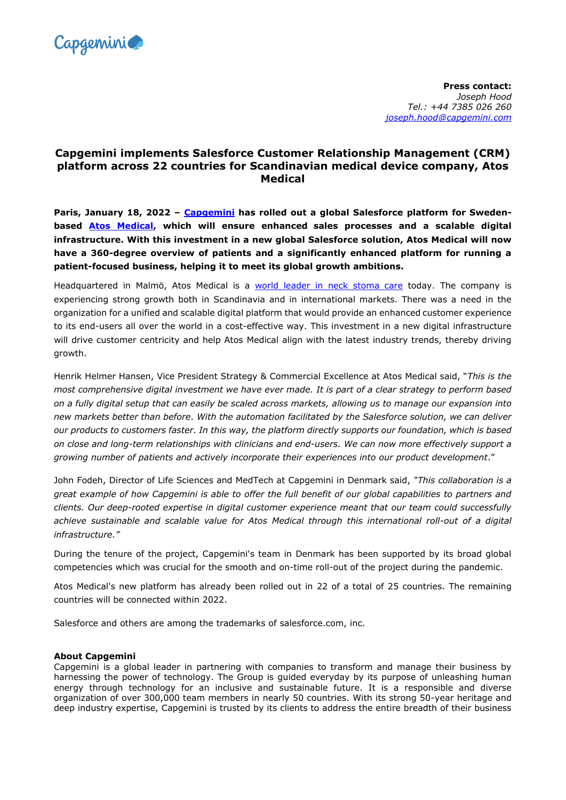

**Press contact:** *Joseph Hood Tel.: +44 7385 026 260 [joseph.hood@capgemini.com](mailto:joseph.hood@capgemini.com)*

## **Capgemini implements Salesforce Customer Relationship Management (CRM) platform across 22 countries for Scandinavian medical device company, Atos Medical**

**Paris, January 18, 2022 – [Capgemini](http://www.capgemini.com/) has rolled out a global Salesforce platform for Swedenbased [Atos Medical,](https://www.atosmedical.dk/) which will ensure enhanced sales processes and a scalable digital infrastructure. With this investment in a new global Salesforce solution, Atos Medical will now have a 360-degree overview of patients and a significantly enhanced platform for running a patient-focused business, helping it to meet its global growth ambitions.**

Headquartered in Malmö, Atos Medical is a [world leader in neck stoma](https://www.atosmedical.com/about/who-we-are/) care today. The company is experiencing strong growth both in Scandinavia and in international markets. There was a need in the organization for a unified and scalable digital platform that would provide an enhanced customer experience to its end-users all over the world in a cost-effective way. This investment in a new digital infrastructure will drive customer centricity and help Atos Medical align with the latest industry trends, thereby driving growth.

Henrik Helmer Hansen, Vice President Strategy & Commercial Excellence at Atos Medical said, "*This is the most comprehensive digital investment we have ever made. It is part of a clear strategy to perform based on a fully digital setup that can easily be scaled across markets, allowing us to manage our expansion into new markets better than before*. *With the automation facilitated by the Salesforce solution, we can deliver our products to customers faster. In this way, the platform directly supports our foundation, which is based on close and long-term relationships with clinicians and end-users. We can now more effectively support a growing number of patients and actively incorporate their experiences into our product development*."

John Fodeh, Director of Life Sciences and MedTech at Capgemini in Denmark said, *"This collaboration is a great example of how Capgemini is able to offer the full benefit of our global capabilities to partners and clients. Our deep-rooted expertise in digital customer experience meant that our team could successfully achieve sustainable and scalable value for Atos Medical through this international roll-out of a digital infrastructure."*

During the tenure of the project, Capgemini's team in Denmark has been supported by its broad global competencies which was crucial for the smooth and on-time roll-out of the project during the pandemic.

Atos Medical's new platform has already been rolled out in 22 of a total of 25 countries. The remaining countries will be connected within 2022.

Salesforce and others are among the trademarks of salesforce.com, inc.

## **About Capgemini**

Capgemini is a global leader in partnering with companies to transform and manage their business by harnessing the power of technology. The Group is guided everyday by its purpose of unleashing human energy through technology for an inclusive and sustainable future. It is a responsible and diverse organization of over 300,000 team members in nearly 50 countries. With its strong 50-year heritage and deep industry expertise, Capgemini is trusted by its clients to address the entire breadth of their business